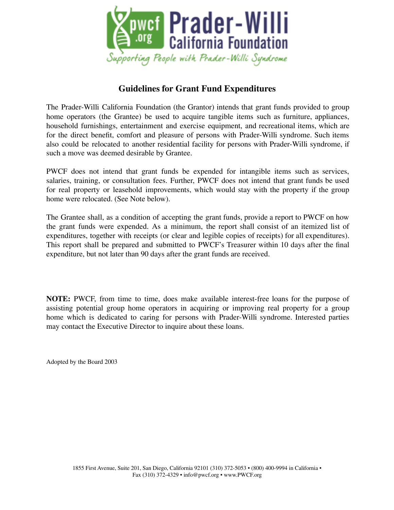

## **Guidelines for Grant Fund Expenditures**

The Prader-Willi California Foundation (the Grantor) intends that grant funds provided to group home operators (the Grantee) be used to acquire tangible items such as furniture, appliances, household furnishings, entertainment and exercise equipment, and recreational items, which are for the direct benefit, comfort and pleasure of persons with Prader-Willi syndrome. Such items also could be relocated to another residential facility for persons with Prader-Willi syndrome, if such a move was deemed desirable by Grantee.

PWCF does not intend that grant funds be expended for intangible items such as services, salaries, training, or consultation fees. Further, PWCF does not intend that grant funds be used for real property or leasehold improvements, which would stay with the property if the group home were relocated. (See Note below).

The Grantee shall, as a condition of accepting the grant funds, provide a report to PWCF on how the grant funds were expended. As a minimum, the report shall consist of an itemized list of expenditures, together with receipts (or clear and legible copies of receipts) for all expenditures). This report shall be prepared and submitted to PWCF's Treasurer within 10 days after the final expenditure, but not later than 90 days after the grant funds are received.

**NOTE:** PWCF, from time to time, does make available interest-free loans for the purpose of assisting potential group home operators in acquiring or improving real property for a group home which is dedicated to caring for persons with Prader-Willi syndrome. Interested parties may contact the Executive Director to inquire about these loans.

Adopted by the Board 2003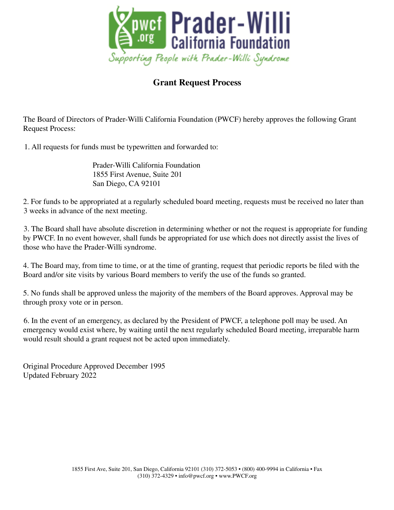

## **Grant Request Process**

The Board of Directors of Prader-Willi California Foundation (PWCF) hereby approves the following Grant Request Process:

1. All requests for funds must be typewritten and forwarded to:

Prader-Willi California Foundation 1855 First Avenue, Suite 201 San Diego, CA 92101

2. For funds to be appropriated at a regularly scheduled board meeting, requests must be received no later than 3 weeks in advance of the next meeting.

3. The Board shall have absolute discretion in determining whether or not the request is appropriate for funding by PWCF. In no event however, shall funds be appropriated for use which does not directly assist the lives of those who have the Prader-Willi syndrome.

4. The Board may, from time to time, or at the time of granting, request that periodic reports be filed with the Board and/or site visits by various Board members to verify the use of the funds so granted.

5. No funds shall be approved unless the majority of the members of the Board approves. Approval may be through proxy vote or in person.

6. In the event of an emergency, as declared by the President of PWCF, a telephone poll may be used. An emergency would exist where, by waiting until the next regularly scheduled Board meeting, irreparable harm would result should a grant request not be acted upon immediately.

Original Procedure Approved December 1995 Updated February 2022